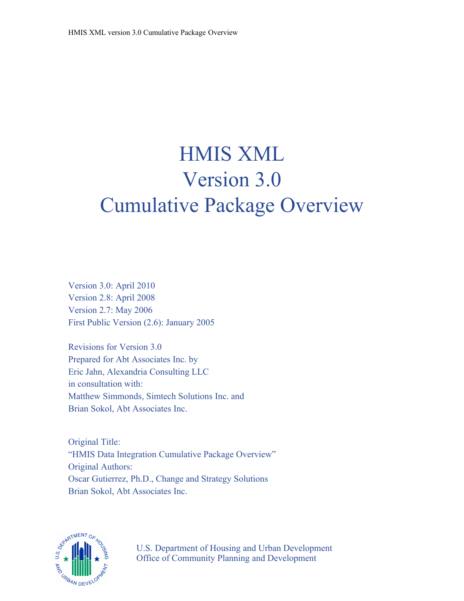# HMIS XML Version 3.0 Cumulative Package Overview

Version 3.0: April 2010 Version 2.8: April 2008 Version 2.7: May 2006 First Public Version (2.6): January 2005

Revisions for Version 3.0 Prepared for Abt Associates Inc. by Eric Jahn, Alexandria Consulting LLC in consultation with: Matthew Simmonds, Simtech Solutions Inc. and Brian Sokol, Abt Associates Inc.

Original Title: "HMIS Data Integration Cumulative Package Overview" Original Authors: Oscar Gutierrez, Ph.D., Change and Strategy Solutions Brian Sokol, Abt Associates Inc.



U.S. Department of Housing and Urban Development Office of Community Planning and Development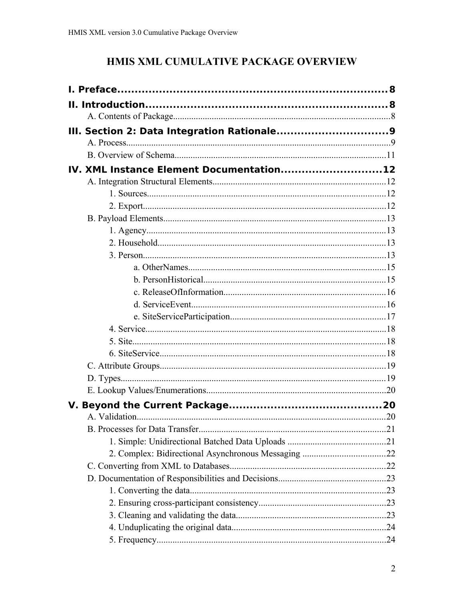## HMIS XML CUMULATIVE PACKAGE OVERVIEW

| IV. XML Instance Element Documentation12 |  |
|------------------------------------------|--|
|                                          |  |
|                                          |  |
|                                          |  |
|                                          |  |
|                                          |  |
|                                          |  |
|                                          |  |
|                                          |  |
|                                          |  |
|                                          |  |
|                                          |  |
|                                          |  |
|                                          |  |
|                                          |  |
|                                          |  |
|                                          |  |
|                                          |  |
|                                          |  |
|                                          |  |
|                                          |  |
|                                          |  |
|                                          |  |
|                                          |  |
|                                          |  |
|                                          |  |
|                                          |  |
|                                          |  |
|                                          |  |
|                                          |  |
|                                          |  |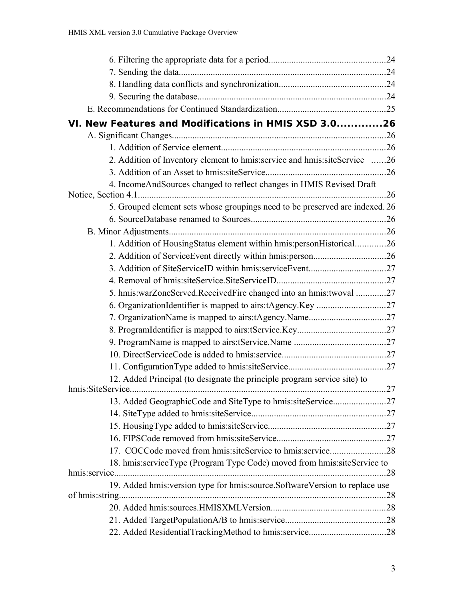| VI. New Features and Modifications in HMIS XSD 3.026                           |     |
|--------------------------------------------------------------------------------|-----|
|                                                                                |     |
|                                                                                |     |
| 2. Addition of Inventory element to hmis: service and hmis: siteService 26     |     |
|                                                                                |     |
| 4. IncomeAndSources changed to reflect changes in HMIS Revised Draft           |     |
|                                                                                |     |
| 5. Grouped element sets whose groupings need to be preserved are indexed. 26   |     |
|                                                                                |     |
|                                                                                |     |
| 1. Addition of HousingStatus element within hmis:personHistorical26            |     |
|                                                                                |     |
|                                                                                |     |
|                                                                                |     |
| 5. hmis:warZoneServed.ReceivedFire changed into an hmis:twoval 27              |     |
|                                                                                |     |
|                                                                                |     |
|                                                                                |     |
|                                                                                |     |
|                                                                                |     |
|                                                                                |     |
| 12. Added Principal (to designate the principle program service site) to       |     |
|                                                                                |     |
|                                                                                |     |
|                                                                                |     |
|                                                                                |     |
|                                                                                |     |
| 17. COCCode moved from hmis:siteService to hmis:service28                      |     |
| 18. hmis:serviceType (Program Type Code) moved from hmis:siteService to        |     |
| hmis:service.                                                                  | .28 |
| 19. Added hmis: version type for hmis: source. Software Version to replace use |     |
|                                                                                |     |
|                                                                                |     |
|                                                                                |     |
|                                                                                |     |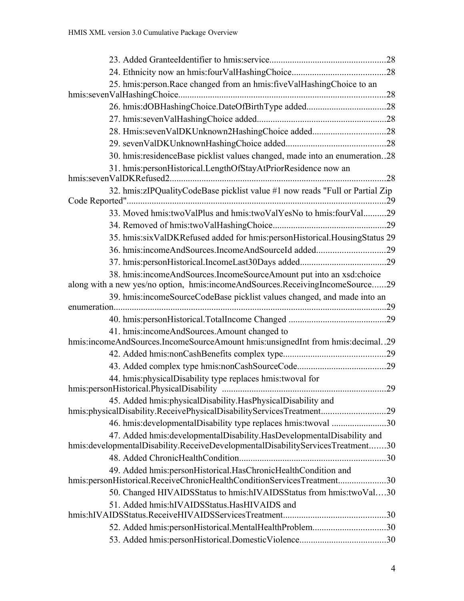| 25. hmis: person. Race changed from an hmis: fiveValHashingChoice to an                                                                   |  |
|-------------------------------------------------------------------------------------------------------------------------------------------|--|
|                                                                                                                                           |  |
|                                                                                                                                           |  |
|                                                                                                                                           |  |
|                                                                                                                                           |  |
|                                                                                                                                           |  |
| 30. hmis: residenceBase picklist values changed, made into an enumeration28                                                               |  |
| 31. hmis:personHistorical.LengthOfStayAtPriorResidence now an                                                                             |  |
| 32. hmis:zIPQualityCodeBase picklist value #1 now reads "Full or Partial Zip                                                              |  |
|                                                                                                                                           |  |
| 33. Moved hmis:twoValPlus and hmis:twoValYesNo to hmis:fourVal29                                                                          |  |
|                                                                                                                                           |  |
| 35. hmis:sixValDKRefused added for hmis:personHistorical.HousingStatus 29                                                                 |  |
| 36. hmis:incomeAndSources.IncomeAndSourceId added29                                                                                       |  |
|                                                                                                                                           |  |
| 38. hmis:incomeAndSources.IncomeSourceAmount put into an xsd:choice                                                                       |  |
| along with a new yes/no option, hmis:incomeAndSources.ReceivingIncomeSource29                                                             |  |
| 39. hmis:incomeSourceCodeBase picklist values changed, and made into an                                                                   |  |
|                                                                                                                                           |  |
|                                                                                                                                           |  |
| 41. hmis:incomeAndSources.Amount changed to<br>hmis:incomeAndSources.IncomeSourceAmount hmis:unsignedInt from hmis:decimal29              |  |
|                                                                                                                                           |  |
|                                                                                                                                           |  |
| 44. hmis: physicalDisability type replaces hmis: twoval for                                                                               |  |
|                                                                                                                                           |  |
| 45. Added hmis: physical Disability. Has Physical Disability and                                                                          |  |
| hmis:physicalDisability.ReceivePhysicalDisabilityServicesTreatment29                                                                      |  |
| 46. hmis: developmental Disability type replaces hmis: twoval 30                                                                          |  |
| 47. Added hmis: developmentalDisability. HasDevelopmentalDisability and                                                                   |  |
| hmis:developmentalDisability.ReceiveDevelopmentalDisabilityServicesTreatment30                                                            |  |
|                                                                                                                                           |  |
| 49. Added hmis: personHistorical. HasChronicHealthCondition and<br>hmis:personHistorical.ReceiveChronicHealthConditionServicesTreatment30 |  |
| 50. Changed HIVAIDSStatus to hmis:hIVAIDSStatus from hmis:twoVal30                                                                        |  |
| 51. Added hmis:hIVAIDSStatus.HasHIVAIDS and                                                                                               |  |
|                                                                                                                                           |  |
|                                                                                                                                           |  |
|                                                                                                                                           |  |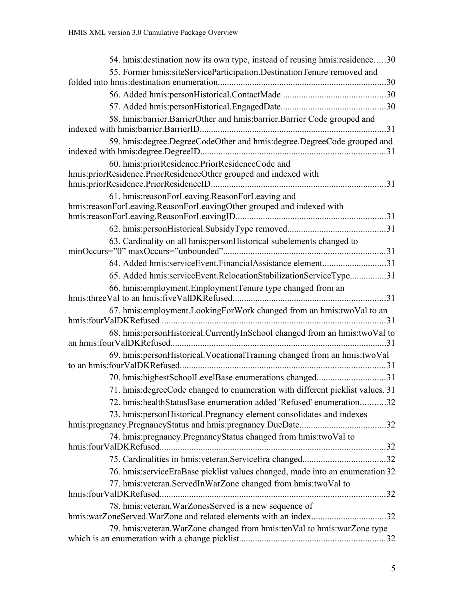| 54. hmis: destination now its own type, instead of reusing hmis: residence30   |  |
|--------------------------------------------------------------------------------|--|
| 55. Former hmis:siteServiceParticipation.DestinationTenure removed and         |  |
|                                                                                |  |
|                                                                                |  |
|                                                                                |  |
| 58. hmis:barrier.BarrierOther and hmis:barrier.Barrier Code grouped and        |  |
| 59. hmis: degree. DegreeCodeOther and hmis: degree. DegreeCode grouped and     |  |
| 60. hmis:priorResidence.PriorResidenceCode and                                 |  |
| hmis:priorResidence.PriorResidenceOther grouped and indexed with               |  |
| 61. hmis: reasonForLeaving. ReasonForLeaving and                               |  |
| hmis:reasonForLeaving.ReasonForLeavingOther grouped and indexed with           |  |
|                                                                                |  |
| 63. Cardinality on all hmis: personHistorical subelements changed to           |  |
| 64. Added hmis:serviceEvent.FinancialAssistance element31                      |  |
| 65. Added hmis:serviceEvent.RelocationStabilizationServiceType31               |  |
| 66. hmis: employment. Employment Tenure type changed from an                   |  |
|                                                                                |  |
| 67. hmis: employment. LookingForWork changed from an hmis: twoVal to an        |  |
| 68. hmis:personHistorical.CurrentlyInSchool changed from an hmis:twoVal to     |  |
| 69. hmis: personHistorical. Vocational Training changed from an hmis: twoVal   |  |
|                                                                                |  |
| 71. hmis: degreeCode changed to enumeration with different picklist values. 31 |  |
| 72. hmis: health Status Base enumeration added 'Refused' enumeration32         |  |
| 73. hmis: person Historical. Pregnancy element consolidates and indexes        |  |
|                                                                                |  |
| 74. hmis: pregnancy. Pregnancy Status changed from hmis: two Val to            |  |
|                                                                                |  |
| 76. hmis:serviceEraBase picklist values changed, made into an enumeration 32   |  |
| 77. hmis: veteran. ServedInWarZone changed from hmis: twoVal to                |  |
|                                                                                |  |
| 78. hmis: veteran. WarZonesServed is a new sequence of                         |  |
| hmis:warZoneServed.WarZone and related elements with an index32                |  |
| 79. hmis: veteran. WarZone changed from hmis: ten Val to hmis: warZone type    |  |
|                                                                                |  |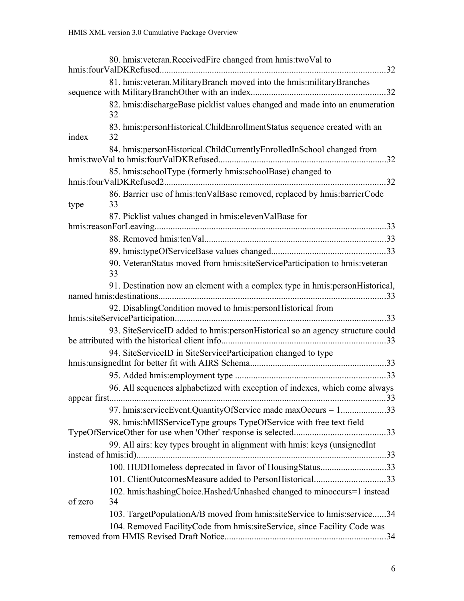|         | 80. hmis: veteran. Received Fire changed from hmis: two Val to                     |    |
|---------|------------------------------------------------------------------------------------|----|
|         | 81. hmis: veteran. Military Branch moved into the hmis: military Branches          |    |
|         | 82. hmis: dischargeBase picklist values changed and made into an enumeration<br>32 |    |
| index   | 83. hmis: personHistorical.ChildEnrollmentStatus sequence created with an<br>32    |    |
|         | 84. hmis: personHistorical.ChildCurrentlyEnrolledInSchool changed from             |    |
|         | 85. hmis:schoolType (formerly hmis:schoolBase) changed to                          |    |
| type    | 86. Barrier use of hmis:tenValBase removed, replaced by hmis:barrierCode<br>33     |    |
|         | 87. Picklist values changed in hmis: eleven ValBase for                            |    |
|         |                                                                                    |    |
|         |                                                                                    |    |
|         | 90. VeteranStatus moved from hmis:siteServiceParticipation to hmis:veteran<br>33   |    |
|         | 91. Destination now an element with a complex type in hmis: person Historical,     |    |
|         | 92. DisablingCondition moved to hmis:personHistorical from                         |    |
|         | 93. SiteServiceID added to hmis:personHistorical so an agency structure could      |    |
|         | 94. SiteServiceID in SiteServiceParticipation changed to type                      |    |
|         |                                                                                    |    |
|         | 96. All sequences alphabetized with exception of indexes, which come always        |    |
|         | 97. hmis:serviceEvent.QuantityOfService made maxOccurs = 133                       |    |
|         | 98. hmis:hMISServiceType groups TypeOfService with free text field                 |    |
|         | 99. All airs: key types brought in alignment with hmis: keys (unsignedInt)         |    |
|         |                                                                                    |    |
|         | 100. HUDHomeless deprecated in favor of HousingStatus33                            |    |
|         | 101. ClientOutcomesMeasure added to PersonHistorical33                             |    |
| of zero | 102. hmis:hashingChoice.Hashed/Unhashed changed to minoccurs=1 instead<br>34       |    |
|         | 103. TargetPopulationA/B moved from hmis:siteService to hmis:service34             |    |
|         | 104. Removed FacilityCode from hmis:siteService, since Facility Code was           | 34 |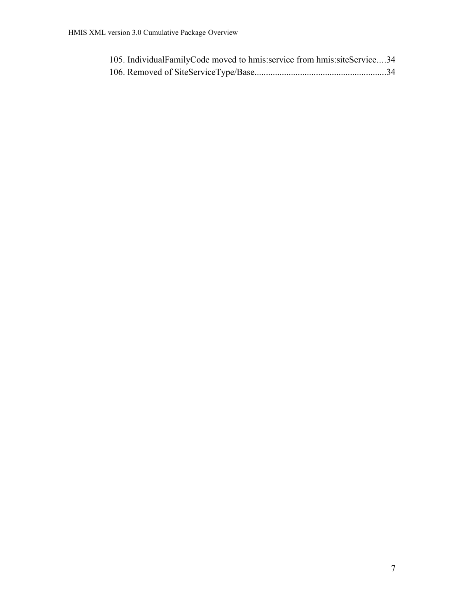| 105. IndividualFamilyCode moved to hmis: service from hmis: siteService34 |  |
|---------------------------------------------------------------------------|--|
|                                                                           |  |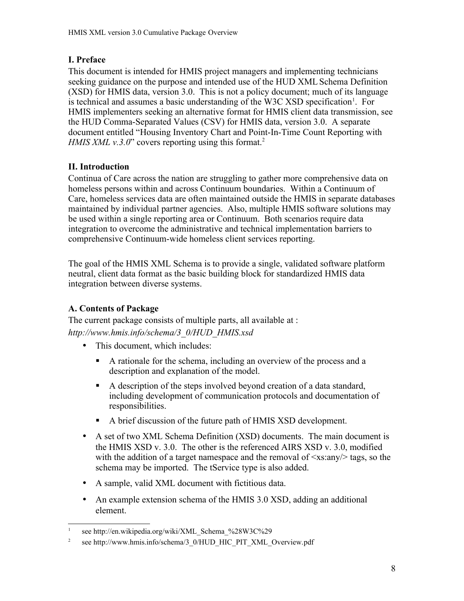## <span id="page-7-0"></span>**I. Preface**

This document is intended for HMIS project managers and implementing technicians seeking guidance on the purpose and intended use of the HUD XML Schema Definition (XSD) for HMIS data, version 3.0. This is not a policy document; much of its language is technical and assumes a basic understanding of the W3C XSD specification<sup>[1](#page-7-3)</sup>. For HMIS implementers seeking an alternative format for HMIS client data transmission, see the HUD Comma-Separated Values (CSV) for HMIS data, version 3.0. A separate document entitled "Housing Inventory Chart and Point-In-Time Count Reporting with *HMIS XML v.3.0*" covers reporting using this format.<sup>[2](#page-7-4)</sup>

## <span id="page-7-2"></span>**II. Introduction**

Continua of Care across the nation are struggling to gather more comprehensive data on homeless persons within and across Continuum boundaries. Within a Continuum of Care, homeless services data are often maintained outside the HMIS in separate databases maintained by individual partner agencies. Also, multiple HMIS software solutions may be used within a single reporting area or Continuum. Both scenarios require data integration to overcome the administrative and technical implementation barriers to comprehensive Continuum-wide homeless client services reporting.

The goal of the HMIS XML Schema is to provide a single, validated software platform neutral, client data format as the basic building block for standardized HMIS data integration between diverse systems.

## <span id="page-7-1"></span>**A. Contents of Package**

The current package consists of multiple parts, all available at : *http://www.hmis.info/schema/3\_0/HUD\_HMIS.xsd*

- This document, which includes:
	- A rationale for the schema, including an overview of the process and a description and explanation of the model.
	- A description of the steps involved beyond creation of a data standard, including development of communication protocols and documentation of responsibilities.
	- A brief discussion of the future path of HMIS XSD development.
- A set of two XML Schema Definition (XSD) documents. The main document is the HMIS XSD v. 3.0. The other is the referenced AIRS XSD v. 3.0, modified with the addition of a target namespace and the removal of  $\langle x \rangle$  and  $\langle x \rangle$  tags, so the schema may be imported. The tService type is also added.
- A sample, valid XML document with fictitious data.
- An example extension schema of the HMIS 3.0 XSD, adding an additional element.

<span id="page-7-3"></span><sup>1</sup> see http://en.wikipedia.org/wiki/XML\_Schema\_%28W3C%29

<span id="page-7-4"></span><sup>2</sup> see [http://www.hmis.info/schema/3\\_0/HUD\\_HIC\\_PIT\\_XML\\_Overview.p](http://www.hmis.info/schema/3_0/HUD_HIC_PIT_XML_Overview.docx)df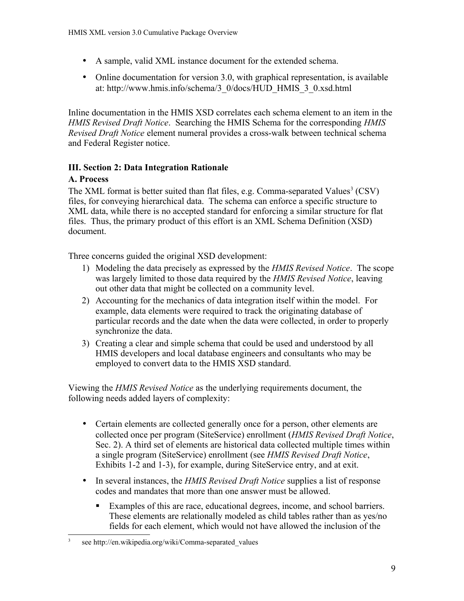- A sample, valid XML instance document for the extended schema.
- Online documentation for version 3.0, with graphical representation, is available at: [http://www.hmis.info/schema/3\\_0/docs/HUD\\_HMIS\\_3\\_0.xsd.html](http://www.hmis.info/schema/3_0/docs/HUD_HMIS_3_0.xsd.html)

Inline documentation in the HMIS XSD correlates each schema element to an item in the *HMIS Revised Draft Notice*. Searching the HMIS Schema for the corresponding *HMIS Revised Draft Notice* element numeral provides a cross-walk between technical schema and Federal Register notice.

## <span id="page-8-1"></span>**III. Section 2: Data Integration Rationale**

## <span id="page-8-0"></span>**A. Process**

The XML format is better suited than flat files, e.g. Comma-separated Values<sup>[3](#page-8-2)</sup> (CSV) files, for conveying hierarchical data. The schema can enforce a specific structure to XML data, while there is no accepted standard for enforcing a similar structure for flat files. Thus, the primary product of this effort is an XML Schema Definition (XSD) document.

Three concerns guided the original XSD development:

- 1) Modeling the data precisely as expressed by the *HMIS Revised Notice*. The scope was largely limited to those data required by the *HMIS Revised Notice*, leaving out other data that might be collected on a community level.
- 2) Accounting for the mechanics of data integration itself within the model. For example, data elements were required to track the originating database of particular records and the date when the data were collected, in order to properly synchronize the data.
- 3) Creating a clear and simple schema that could be used and understood by all HMIS developers and local database engineers and consultants who may be employed to convert data to the HMIS XSD standard.

Viewing the *HMIS Revised Notice* as the underlying requirements document, the following needs added layers of complexity:

- Certain elements are collected generally once for a person, other elements are collected once per program (SiteService) enrollment (*HMIS Revised Draft Notice*, Sec. 2). A third set of elements are historical data collected multiple times within a single program (SiteService) enrollment (see *HMIS Revised Draft Notice*, Exhibits 1-2 and 1-3), for example, during SiteService entry, and at exit.
- In several instances, the *HMIS Revised Draft Notice* supplies a list of response codes and mandates that more than one answer must be allowed.
	- Examples of this are race, educational degrees, income, and school barriers. These elements are relationally modeled as child tables rather than as yes/no fields for each element, which would not have allowed the inclusion of the

<span id="page-8-2"></span><sup>3</sup> see http://en.wikipedia.org/wiki/Comma-separated\_values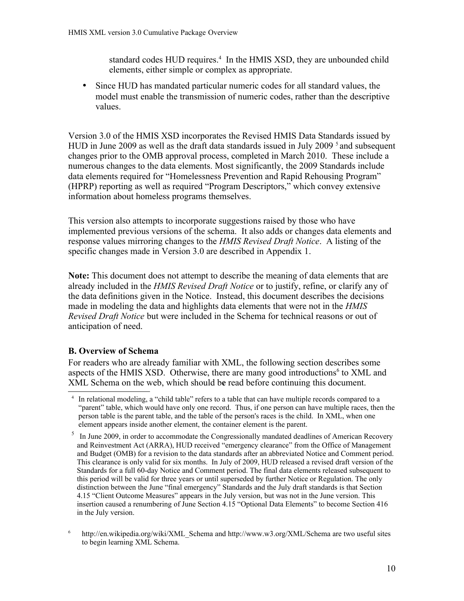standard codes HUD requires.<sup>[4](#page-9-1)</sup> In the HMIS XSD, they are unbounded child elements, either simple or complex as appropriate.

• Since HUD has mandated particular numeric codes for all standard values, the model must enable the transmission of numeric codes, rather than the descriptive values.

Version 3.0 of the HMIS XSD incorporates the Revised HMIS Data Standards issued by HUD in June 2009 as well as the draft data standards issued in July 2009<sup>[5](#page-9-2)</sup> and subsequent changes prior to the OMB approval process, completed in March 2010. These include a numerous changes to the data elements. Most significantly, the 2009 Standards include data elements required for "Homelessness Prevention and Rapid Rehousing Program" (HPRP) reporting as well as required "Program Descriptors," which convey extensive information about homeless programs themselves.

This version also attempts to incorporate suggestions raised by those who have implemented previous versions of the schema. It also adds or changes data elements and response values mirroring changes to the *HMIS Revised Draft Notice*. A listing of the specific changes made in Version 3.0 are described in Appendix 1.

**Note:** This document does not attempt to describe the meaning of data elements that are already included in the *HMIS Revised Draft Notice* or to justify, refine, or clarify any of the data definitions given in the Notice. Instead, this document describes the decisions made in modeling the data and highlights data elements that were not in the *HMIS Revised Draft Notice* but were included in the Schema for technical reasons or out of anticipation of need.

#### <span id="page-9-0"></span>**B. Overview of Schema**

For readers who are already familiar with XML, the following section describes some aspects of the HMIS XSD. Otherwise, there are many good introductions<sup>[6](#page-9-3)</sup> to XML and XML Schema on the web, which should b**e** read before continuing this document.

<span id="page-9-1"></span><sup>4</sup> In relational modeling, a "child table" refers to a table that can have multiple records compared to a "parent" table, which would have only one record. Thus, if one person can have multiple races, then the person table is the parent table, and the table of the person's races is the child. In XML, when one element appears inside another element, the container element is the parent.

<span id="page-9-2"></span><sup>&</sup>lt;sup>5</sup> In June 2009, in order to accommodate the Congressionally mandated deadlines of American Recovery and Reinvestment Act (ARRA), HUD received "emergency clearance" from the Office of Management and Budget (OMB) for a revision to the data standards after an abbreviated Notice and Comment period. This clearance is only valid for six months. In July of 2009, HUD released a revised draft version of the Standards for a full 60-day Notice and Comment period. The final data elements released subsequent to this period will be valid for three years or until superseded by further Notice or Regulation. The only distinction between the June "final emergency" Standards and the July draft standards is that Section 4.15 "Client Outcome Measures" appears in the July version, but was not in the June version. This insertion caused a renumbering of June Section 4.15 "Optional Data Elements" to become Section 416 in the July version.

<span id="page-9-3"></span><sup>&</sup>lt;sup>6</sup> [http://en.wikipedia.org/wiki/XML\\_Schema](http://en.wikipedia.org/wiki/XML_Schema) and<http://www.w3.org/XML/Schema>are two useful sites to begin learning XML Schema.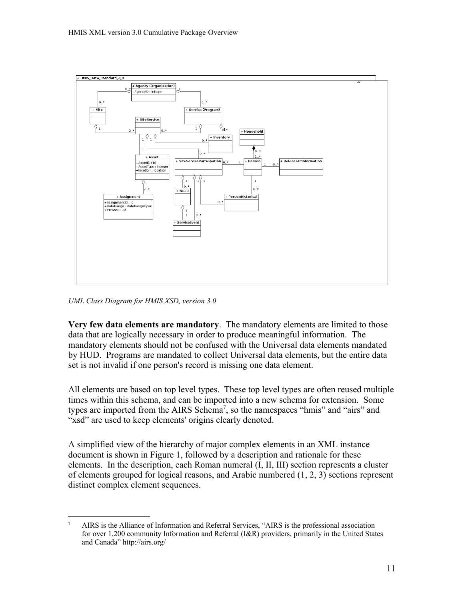

*UML Class Diagram for HMIS XSD, version 3.0*

**Very few data elements are mandatory**. The mandatory elements are limited to those data that are logically necessary in order to produce meaningful information. The mandatory elements should not be confused with the Universal data elements mandated by HUD. Programs are mandated to collect Universal data elements, but the entire data set is not invalid if one person's record is missing one data element.

All elements are based on top level types. These top level types are often reused multiple times within this schema, and can be imported into a new schema for extension. Some types are imported from the AIRS Schema<sup>[7](#page-10-0)</sup>, so the namespaces "hmis" and "airs" and "xsd" are used to keep elements' origins clearly denoted.

A simplified view of the hierarchy of major complex elements in an XML instance document is shown in Figure 1, followed by a description and rationale for these elements. In the description, each Roman numeral (I, II, III) section represents a cluster of elements grouped for logical reasons, and Arabic numbered (1, 2, 3) sections represent distinct complex element sequences.

<span id="page-10-0"></span><sup>7</sup> AIRS is the Alliance of Information and Referral Services, "AIRS is the professional association for over 1,200 community Information and Referral (I&R) providers, primarily in the United States and Canada" http://airs.org/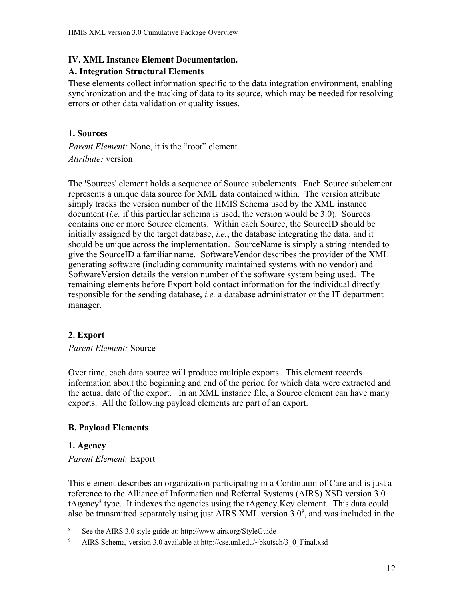#### <span id="page-11-5"></span>**IV. XML Instance Element Documentation.**

#### <span id="page-11-4"></span>**A. Integration Structural Elements**

These elements collect information specific to the data integration environment, enabling synchronization and the tracking of data to its source, which may be needed for resolving errors or other data validation or quality issues.

#### <span id="page-11-3"></span>**1. Sources**

*Parent Element:* None, it is the "root" element *Attribute:* version

The 'Sources' element holds a sequence of Source subelements. Each Source subelement represents a unique data source for XML data contained within. The version attribute simply tracks the version number of the HMIS Schema used by the XML instance document (*i.e.* if this particular schema is used, the version would be 3.0). Sources contains one or more Source elements. Within each Source, the SourceID should be initially assigned by the target database, *i.e.*, the database integrating the data, and it should be unique across the implementation. SourceName is simply a string intended to give the SourceID a familiar name. SoftwareVendor describes the provider of the XML generating software (including community maintained systems with no vendor) and SoftwareVersion details the version number of the software system being used. The remaining elements before Export hold contact information for the individual directly responsible for the sending database, *i.e.* a database administrator or the IT department manager.

#### <span id="page-11-2"></span>**2. Export**

#### *Parent Element:* Source

Over time, each data source will produce multiple exports. This element records information about the beginning and end of the period for which data were extracted and the actual date of the export. In an XML instance file, a Source element can have many exports. All the following payload elements are part of an export.

#### <span id="page-11-1"></span>**B. Payload Elements**

#### <span id="page-11-0"></span>**1. Agency**

#### *Parent Element:* Export

This element describes an organization participating in a Continuum of Care and is just a reference to the Alliance of Information and Referral Systems (AIRS) XSD version 3.0 tAgency<sup>[8](#page-11-6)</sup> type. It indexes the agencies using the tAgency.Key element. This data could also be transmitted separately using just AIRS XML version  $3.0^{\circ}$ , and was included in the

<span id="page-11-6"></span><sup>8</sup> See the AIRS 3.0 style guide at: http://www.airs.org/StyleGuide

<span id="page-11-7"></span>AIRS Schema, version 3.0 available at http://cse.unl.edu/~bkutsch/3\_0\_Final.xsd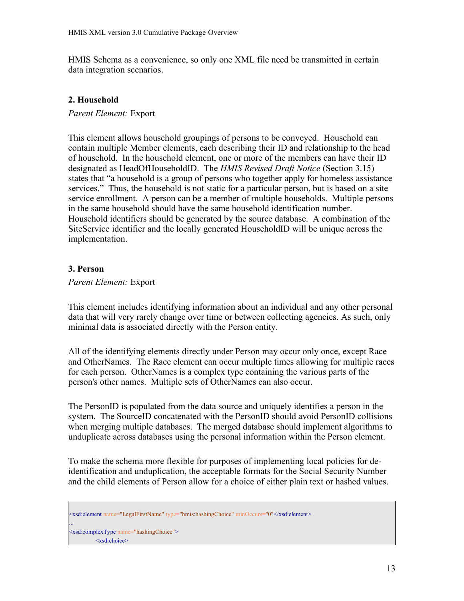HMIS Schema as a convenience, so only one XML file need be transmitted in certain data integration scenarios.

#### <span id="page-12-1"></span>**2. Household**

*Parent Element:* Export

This element allows household groupings of persons to be conveyed. Household can contain multiple Member elements, each describing their ID and relationship to the head of household. In the household element, one or more of the members can have their ID designated as HeadOfHouseholdID. The *HMIS Revised Draft Notice* (Section 3.15) states that "a household is a group of persons who together apply for homeless assistance services." Thus, the household is not static for a particular person, but is based on a site service enrollment. A person can be a member of multiple households. Multiple persons in the same household should have the same household identification number. Household identifiers should be generated by the source database. A combination of the SiteService identifier and the locally generated HouseholdID will be unique across the implementation.

#### <span id="page-12-0"></span>**3. Person**

#### *Parent Element:* Export

This element includes identifying information about an individual and any other personal data that will very rarely change over time or between collecting agencies. As such, only minimal data is associated directly with the Person entity.

All of the identifying elements directly under Person may occur only once, except Race and OtherNames. The Race element can occur multiple times allowing for multiple races for each person. OtherNames is a complex type containing the various parts of the person's other names. Multiple sets of OtherNames can also occur.

The PersonID is populated from the data source and uniquely identifies a person in the system. The SourceID concatenated with the PersonID should avoid PersonID collisions when merging multiple databases. The merged database should implement algorithms to unduplicate across databases using the personal information within the Person element.

To make the schema more flexible for purposes of implementing local policies for deidentification and unduplication, the acceptable formats for the Social Security Number and the child elements of Person allow for a choice of either plain text or hashed values.

<sup>&</sup>lt;xsd:element name="LegalFirstName" type="hmis:hashingChoice" minOccurs="0"</xsd:element> ... <xsd:complexType name="hashingChoice"> <xsd:choice>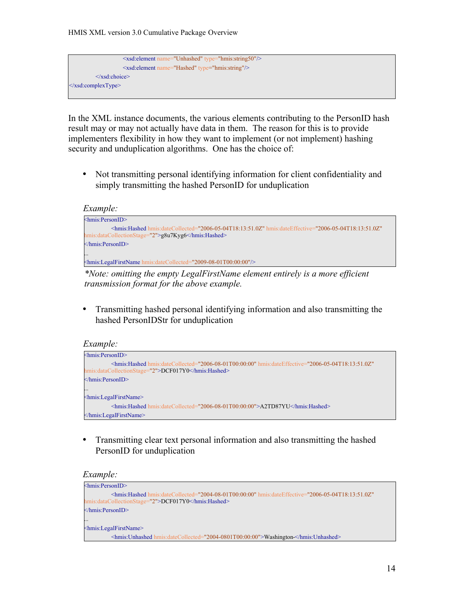

In the XML instance documents, the various elements contributing to the PersonID hash result may or may not actually have data in them. The reason for this is to provide implementers flexibility in how they want to implement (or not implement) hashing security and unduplication algorithms. One has the choice of:

• Not transmitting personal identifying information for client confidentiality and simply transmitting the hashed PersonID for unduplication

```
Example:
```

```
<hmis:PersonID>
          <hmis:Hashed hmis:dateCollected="2006-05-04T18:13:51.0Z" hmis:dateEffective="2006-05-04T18:13:51.0Z"
 hmis:dataCollectionStage="2">g8u7Kyg6</hmis:Hashed>
</hmis:PersonID>
...
<hmis:LegalFirstName hmis:dateCollected="2009-08-01T00:00:00"/>
```
*\*Note: omitting the empty LegalFirstName element entirely is a more efficient transmission format for the above example.*

• Transmitting hashed personal identifying information and also transmitting the hashed PersonIDStr for unduplication

#### *Example:*



• Transmitting clear text personal information and also transmitting the hashed PersonID for unduplication

#### *Example:*

```
<hmis:PersonID>
         <hmis:Hashed hmis:dateCollected="2004-08-01T00:00:00" hmis:dateEffective="2006-05-04T18:13:51.0Z"
hmis:dataCollectionStage="2">DCF017Y0</hmis:Hashed>
</hmis:PersonID>
...
<hmis:LegalFirstName>
         <hmis:Unhashed hmis:dateCollected="2004-0801T00:00:00">Washington </hmis:Unhashed>
```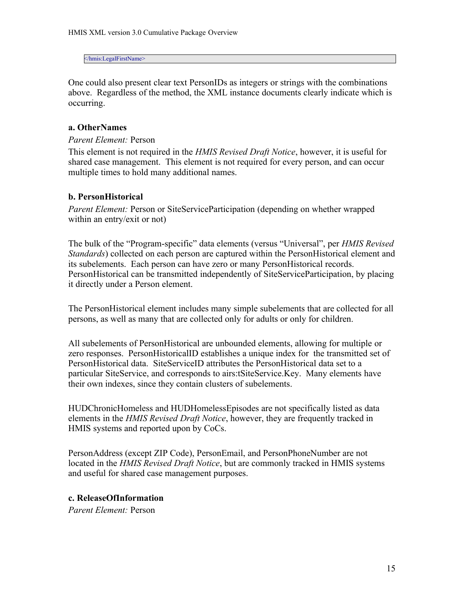</hmis:LegalFirstName>

One could also present clear text PersonIDs as integers or strings with the combinations above. Regardless of the method, the XML instance documents clearly indicate which is occurring.

#### <span id="page-14-2"></span>**a. OtherNames**

#### *Parent Element:* Person

This element is not required in the *HMIS Revised Draft Notice*, however, it is useful for shared case management. This element is not required for every person, and can occur multiple times to hold many additional names.

#### <span id="page-14-1"></span>**b. PersonHistorical**

*Parent Element:* Person or SiteServiceParticipation (depending on whether wrapped within an entry/exit or not)

The bulk of the "Program-specific" data elements (versus "Universal", per *HMIS Revised Standards*) collected on each person are captured within the PersonHistorical element and its subelements. Each person can have zero or many PersonHistorical records. PersonHistorical can be transmitted independently of SiteServiceParticipation, by placing it directly under a Person element.

The PersonHistorical element includes many simple subelements that are collected for all persons, as well as many that are collected only for adults or only for children.

All subelements of PersonHistorical are unbounded elements, allowing for multiple or zero responses. PersonHistoricalID establishes a unique index for the transmitted set of PersonHistorical data. SiteServiceID attributes the PersonHistorical data set to a particular SiteService, and corresponds to airs:tSiteService.Key. Many elements have their own indexes, since they contain clusters of subelements.

HUDChronicHomeless and HUDHomelessEpisodes are not specifically listed as data elements in the *HMIS Revised Draft Notice*, however, they are frequently tracked in HMIS systems and reported upon by CoCs.

PersonAddress (except ZIP Code), PersonEmail, and PersonPhoneNumber are not located in the *HMIS Revised Draft Notice*, but are commonly tracked in HMIS systems and useful for shared case management purposes.

#### <span id="page-14-0"></span>**c. ReleaseOfInformation**

*Parent Element:* Person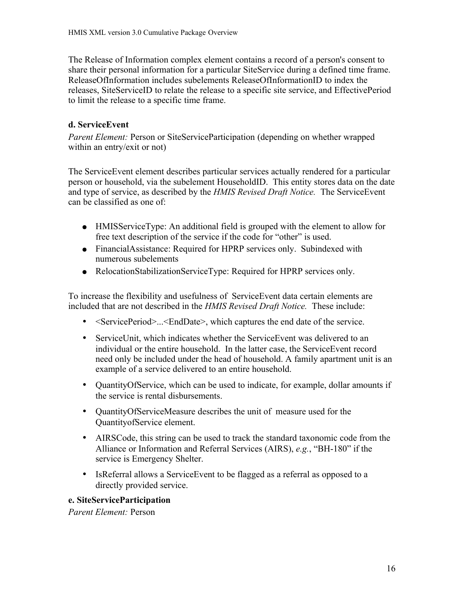The Release of Information complex element contains a record of a person's consent to share their personal information for a particular SiteService during a defined time frame. ReleaseOfInformation includes subelements ReleaseOfInformationID to index the releases, SiteServiceID to relate the release to a specific site service, and EffectivePeriod to limit the release to a specific time frame.

#### <span id="page-15-1"></span>**d. ServiceEvent**

*Parent Element:* Person or SiteServiceParticipation (depending on whether wrapped within an entry/exit or not)

The ServiceEvent element describes particular services actually rendered for a particular person or household, via the subelement HouseholdID. This entity stores data on the date and type of service, as described by the *HMIS Revised Draft Notice.* The ServiceEvent can be classified as one of:

- HMISServiceType: An additional field is grouped with the element to allow for free text description of the service if the code for "other" is used.
- FinancialAssistance: Required for HPRP services only. Subindexed with numerous subelements
- RelocationStabilizationServiceType: Required for HPRP services only.

To increase the flexibility and usefulness of ServiceEvent data certain elements are included that are not described in the *HMIS Revised Draft Notice.* These include:

- <ServicePeriod>...<EndDate>, which captures the end date of the service.
- ServiceUnit, which indicates whether the ServiceEvent was delivered to an individual or the entire household. In the latter case, the ServiceEvent record need only be included under the head of household. A family apartment unit is an example of a service delivered to an entire household.
- QuantityOfService, which can be used to indicate, for example, dollar amounts if the service is rental disbursements.
- QuantityOfServiceMeasure describes the unit of measure used for the QuantityofService element.
- AIRSCode, this string can be used to track the standard taxonomic code from the Alliance or Information and Referral Services (AIRS), *e.g.*, "BH-180" if the service is Emergency Shelter.
- IsReferral allows a ServiceEvent to be flagged as a referral as opposed to a directly provided service.

#### <span id="page-15-0"></span>**e. SiteServiceParticipation**

*Parent Element:* Person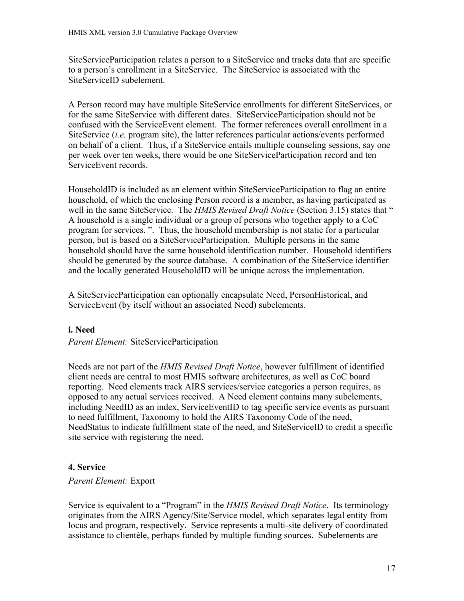SiteServiceParticipation relates a person to a SiteService and tracks data that are specific to a person's enrollment in a SiteService. The SiteService is associated with the SiteServiceID subelement.

A Person record may have multiple SiteService enrollments for different SiteServices, or for the same SiteService with different dates. SiteServiceParticipation should not be confused with the ServiceEvent element. The former references overall enrollment in a SiteService (*i.e.* program site), the latter references particular actions/events performed on behalf of a client. Thus, if a SiteService entails multiple counseling sessions, say one per week over ten weeks, there would be one SiteServiceParticipation record and ten ServiceEvent records.

HouseholdID is included as an element within SiteServiceParticipation to flag an entire household, of which the enclosing Person record is a member, as having participated as well in the same SiteService. The *HMIS Revised Draft Notice* (Section 3.15) states that " A household is a single individual or a group of persons who together apply to a CoC program for services. ". Thus, the household membership is not static for a particular person, but is based on a SiteServiceParticipation. Multiple persons in the same household should have the same household identification number. Household identifiers should be generated by the source database. A combination of the SiteService identifier and the locally generated HouseholdID will be unique across the implementation.

A SiteServiceParticipation can optionally encapsulate Need, PersonHistorical, and ServiceEvent (by itself without an associated Need) subelements.

#### **i. Need**

*Parent Element:* SiteServiceParticipation

Needs are not part of the *HMIS Revised Draft Notice*, however fulfillment of identified client needs are central to most HMIS software architectures, as well as CoC board reporting. Need elements track AIRS services/service categories a person requires, as opposed to any actual services received. A Need element contains many subelements, including NeedID as an index, ServiceEventID to tag specific service events as pursuant to need fulfillment, Taxonomy to hold the AIRS Taxonomy Code of the need, NeedStatus to indicate fulfillment state of the need, and SiteServiceID to credit a specific site service with registering the need.

#### <span id="page-16-0"></span>**4. Service**

#### *Parent Element:* Export

Service is equivalent to a "Program" in the *HMIS Revised Draft Notice*. Its terminology originates from the AIRS Agency/Site/Service model, which separates legal entity from locus and program, respectively. Service represents a multi-site delivery of coordinated assistance to clientèle, perhaps funded by multiple funding sources. Subelements are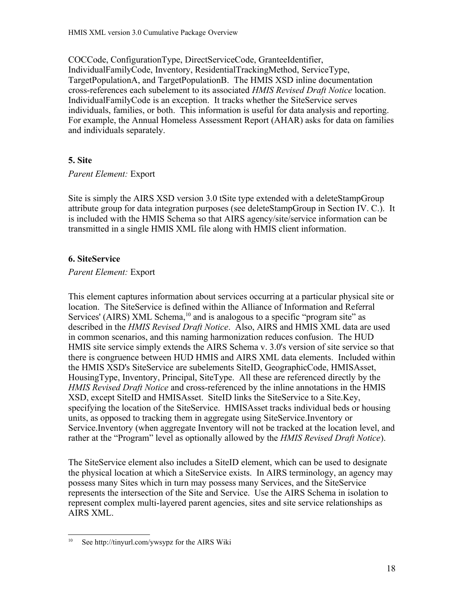COCCode, ConfigurationType, DirectServiceCode, GranteeIdentifier, IndividualFamilyCode, Inventory, ResidentialTrackingMethod, ServiceType, TargetPopulationA, and TargetPopulationB. The HMIS XSD inline documentation cross-references each subelement to its associated *HMIS Revised Draft Notice* location. IndividualFamilyCode is an exception. It tracks whether the SiteService serves individuals, families, or both. This information is useful for data analysis and reporting. For example, the Annual Homeless Assessment Report (AHAR) asks for data on families and individuals separately.

#### <span id="page-17-1"></span>**5. Site**

*Parent Element:* Export

Site is simply the AIRS XSD version 3.0 tSite type extended with a deleteStampGroup attribute group for data integration purposes (see deleteStampGroup in Section IV. C.). It is included with the HMIS Schema so that AIRS agency/site/service information can be transmitted in a single HMIS XML file along with HMIS client information.

#### <span id="page-17-0"></span>**6. SiteService**

#### *Parent Element:* Export

This element captures information about services occurring at a particular physical site or location. The SiteService is defined within the Alliance of Information and Referral Services' (AIRS) XML Schema,<sup>[10](#page-17-2)</sup> and is analogous to a specific "program site" as described in the *HMIS Revised Draft Notice*. Also, AIRS and HMIS XML data are used in common scenarios, and this naming harmonization reduces confusion. The HUD HMIS site service simply extends the AIRS Schema v. 3.0's version of site service so that there is congruence between HUD HMIS and AIRS XML data elements. Included within the HMIS XSD's SiteService are subelements SiteID, GeographicCode, HMISAsset, HousingType, Inventory, Principal, SiteType. All these are referenced directly by the *HMIS Revised Draft Notice* and cross-referenced by the inline annotations in the HMIS XSD, except SiteID and HMISAsset. SiteID links the SiteService to a Site.Key, specifying the location of the SiteService. HMISAsset tracks individual beds or housing units, as opposed to tracking them in aggregate using SiteService.Inventory or Service.Inventory (when aggregate Inventory will not be tracked at the location level, and rather at the "Program" level as optionally allowed by the *HMIS Revised Draft Notice*).

The SiteService element also includes a SiteID element, which can be used to designate the physical location at which a SiteService exists. In AIRS terminology, an agency may possess many Sites which in turn may possess many Services, and the SiteService represents the intersection of the Site and Service. Use the AIRS Schema in isolation to represent complex multi-layered parent agencies, sites and site service relationships as AIRS XML.

<span id="page-17-2"></span><sup>10</sup> See<http://tinyurl.com/ywsypz>for the AIRS Wiki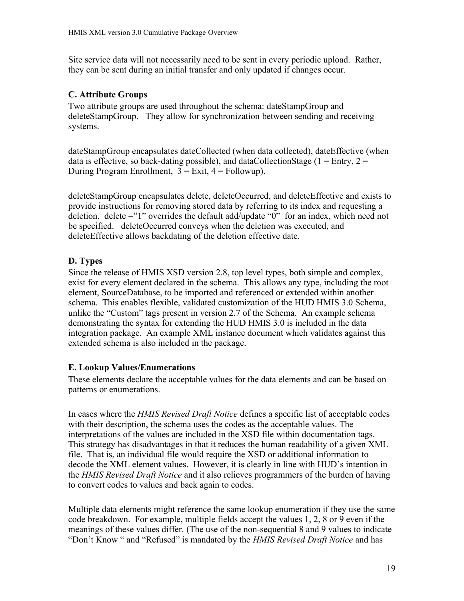Site service data will not necessarily need to be sent in every periodic upload. Rather, they can be sent during an initial transfer and only updated if changes occur.

#### <span id="page-18-2"></span>**C. Attribute Groups**

Two attribute groups are used throughout the schema: dateStampGroup and deleteStampGroup. They allow for synchronization between sending and receiving systems.

dateStampGroup encapsulates dateCollected (when data collected), dateEffective (when data is effective, so back-dating possible), and dataCollectionStage ( $1 =$  Entry,  $2 =$ During Program Enrollment,  $3 = \text{Exit}, 4 = \text{Followup}$ ).

deleteStampGroup encapsulates delete, deleteOccurred, and deleteEffective and exists to provide instructions for removing stored data by referring to its index and requesting a deletion. delete ="1" overrides the default add/update "0" for an index, which need not be specified. deleteOccurred conveys when the deletion was executed, and deleteEffective allows backdating of the deletion effective date.

#### <span id="page-18-1"></span>**D. Types**

Since the release of HMIS XSD version 2.8, top level types, both simple and complex, exist for every element declared in the schema. This allows any type, including the root element, SourceDatabase, to be imported and referenced or extended within another schema. This enables flexible, validated customization of the HUD HMIS 3.0 Schema, unlike the "Custom" tags present in version 2.7 of the Schema. An example schema demonstrating the syntax for extending the HUD HMIS 3.0 is included in the data integration package. An example XML instance document which validates against this extended schema is also included in the package.

#### <span id="page-18-0"></span>**E. Lookup Values/Enumerations**

These elements declare the acceptable values for the data elements and can be based on patterns or enumerations.

In cases where the *HMIS Revised Draft Notice* defines a specific list of acceptable codes with their description, the schema uses the codes as the acceptable values. The interpretations of the values are included in the XSD file within documentation tags. This strategy has disadvantages in that it reduces the human readability of a given XML file. That is, an individual file would require the XSD or additional information to decode the XML element values. However, it is clearly in line with HUD's intention in the *HMIS Revised Draft Notice* and it also relieves programmers of the burden of having to convert codes to values and back again to codes.

Multiple data elements might reference the same lookup enumeration if they use the same code breakdown. For example, multiple fields accept the values 1, 2, 8 or 9 even if the meanings of these values differ. (The use of the non-sequential 8 and 9 values to indicate "Don't Know " and "Refused" is mandated by the *HMIS Revised Draft Notice* and has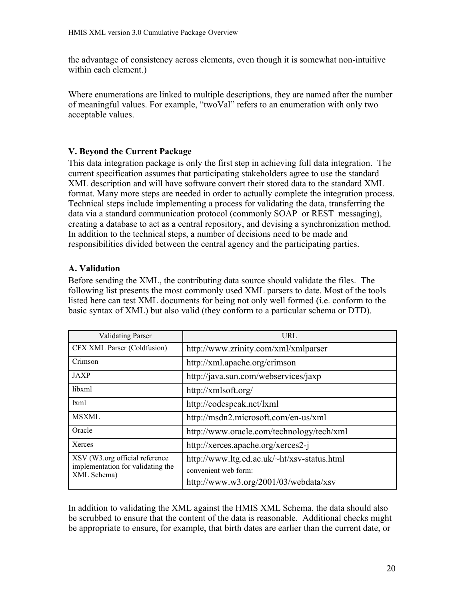the advantage of consistency across elements, even though it is somewhat non-intuitive within each element.)

Where enumerations are linked to multiple descriptions, they are named after the number of meaningful values. For example, "twoVal" refers to an enumeration with only two acceptable values.

#### <span id="page-19-1"></span>**V. Beyond the Current Package**

This data integration package is only the first step in achieving full data integration. The current specification assumes that participating stakeholders agree to use the standard XML description and will have software convert their stored data to the standard XML format. Many more steps are needed in order to actually complete the integration process. Technical steps include implementing a process for validating the data, transferring the data via a standard communication protocol (commonly SOAP or REST messaging), creating a database to act as a central repository, and devising a synchronization method. In addition to the technical steps, a number of decisions need to be made and responsibilities divided between the central agency and the participating parties.

#### <span id="page-19-0"></span>**A. Validation**

Before sending the XML, the contributing data source should validate the files. The following list presents the most commonly used XML parsers to date. Most of the tools listed here can test XML documents for being not only well formed (i.e. conform to the basic syntax of XML) but also valid (they conform to a particular schema or DTD).

| <b>Validating Parser</b>                                                           | URL                                                                 |
|------------------------------------------------------------------------------------|---------------------------------------------------------------------|
| CFX XML Parser (Coldfusion)                                                        | http://www.zrinity.com/xml/xmlparser                                |
| Crimson                                                                            | http://xml.apache.org/crimson                                       |
| JAXP                                                                               | http://java.sun.com/webservices/jaxp                                |
| libxml                                                                             | http://xmlsoft.org/                                                 |
| 1xml                                                                               | http://codespeak.net/lxml                                           |
| <b>MSXML</b>                                                                       | http://msdn2.microsoft.com/en-us/xml                                |
| Oracle                                                                             | http://www.oracle.com/technology/tech/xml                           |
| Xerces                                                                             | http://xerces.apache.org/xerces2-j                                  |
| XSV (W3.org official reference<br>implementation for validating the<br>XML Schema) | http://www.ltg.ed.ac.uk/~ht/xsv-status.html<br>convenient web form: |
|                                                                                    | http://www.w3.org/2001/03/webdata/xsv                               |

In addition to validating the XML against the HMIS XML Schema, the data should also be scrubbed to ensure that the content of the data is reasonable. Additional checks might be appropriate to ensure, for example, that birth dates are earlier than the current date, or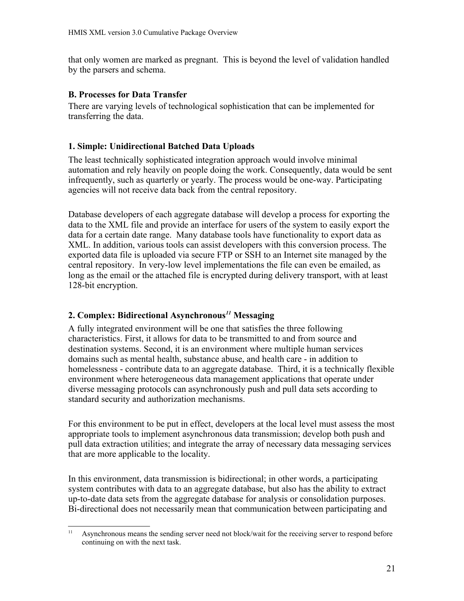that only women are marked as pregnant. This is beyond the level of validation handled by the parsers and schema.

#### <span id="page-20-2"></span>**B. Processes for Data Transfer**

There are varying levels of technological sophistication that can be implemented for transferring the data.

## <span id="page-20-1"></span>**1. Simple: Unidirectional Batched Data Uploads**

The least technically sophisticated integration approach would involve minimal automation and rely heavily on people doing the work. Consequently, data would be sent infrequently, such as quarterly or yearly. The process would be one-way. Participating agencies will not receive data back from the central repository.

Database developers of each aggregate database will develop a process for exporting the data to the XML file and provide an interface for users of the system to easily export the data for a certain date range. Many database tools have functionality to export data as XML. In addition, various tools can assist developers with this conversion process. The exported data file is uploaded via secure FTP or SSH to an Internet site managed by the central repository. In very-low level implementations the file can even be emailed, as long as the email or the attached file is encrypted during delivery transport, with at least 128-bit encryption.

#### <span id="page-20-0"></span>**2. Complex: Bidirectional Asynchronous***[11](#page-20-3)* **Messaging**

A fully integrated environment will be one that satisfies the three following characteristics. First, it allows for data to be transmitted to and from source and destination systems. Second, it is an environment where multiple human services domains such as mental health, substance abuse, and health care - in addition to homelessness - contribute data to an aggregate database. Third, it is a technically flexible environment where heterogeneous data management applications that operate under diverse messaging protocols can asynchronously push and pull data sets according to standard security and authorization mechanisms.

For this environment to be put in effect, developers at the local level must assess the most appropriate tools to implement asynchronous data transmission; develop both push and pull data extraction utilities; and integrate the array of necessary data messaging services that are more applicable to the locality.

In this environment, data transmission is bidirectional; in other words, a participating system contributes with data to an aggregate database, but also has the ability to extract up-to-date data sets from the aggregate database for analysis or consolidation purposes. Bi-directional does not necessarily mean that communication between participating and

<span id="page-20-3"></span><sup>&</sup>lt;sup>11</sup> Asynchronous means the sending server need not block/wait for the receiving server to respond before continuing on with the next task.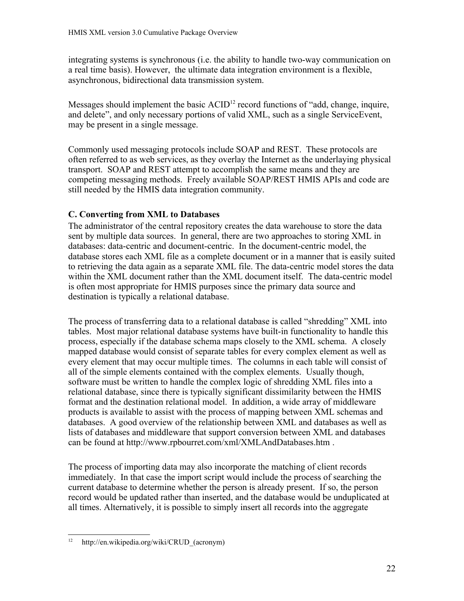integrating systems is synchronous (i.e. the ability to handle two-way communication on a real time basis). However, the ultimate data integration environment is a flexible, asynchronous, bidirectional data transmission system.

Messages should implement the basic  $ACID<sup>12</sup>$  $ACID<sup>12</sup>$  $ACID<sup>12</sup>$  record functions of "add, change, inquire, and delete", and only necessary portions of valid XML, such as a single ServiceEvent, may be present in a single message.

Commonly used messaging protocols include SOAP and REST. These protocols are often referred to as web services, as they overlay the Internet as the underlaying physical transport. SOAP and REST attempt to accomplish the same means and they are competing messaging methods. Freely available SOAP/REST HMIS APIs and code are still needed by the HMIS data integration community.

#### <span id="page-21-0"></span>**C. Converting from XML to Databases**

The administrator of the central repository creates the data warehouse to store the data sent by multiple data sources. In general, there are two approaches to storing XML in databases: data-centric and document-centric. In the document-centric model, the database stores each XML file as a complete document or in a manner that is easily suited to retrieving the data again as a separate XML file. The data-centric model stores the data within the XML document rather than the XML document itself. The data-centric model is often most appropriate for HMIS purposes since the primary data source and destination is typically a relational database.

The process of transferring data to a relational database is called "shredding" XML into tables. Most major relational database systems have built-in functionality to handle this process, especially if the database schema maps closely to the XML schema. A closely mapped database would consist of separate tables for every complex element as well as every element that may occur multiple times. The columns in each table will consist of all of the simple elements contained with the complex elements. Usually though, software must be written to handle the complex logic of shredding XML files into a relational database, since there is typically significant dissimilarity between the HMIS format and the destination relational model. In addition, a wide array of middleware products is available to assist with the process of mapping between XML schemas and databases. A good overview of the relationship between XML and databases as well as lists of databases and middleware that support conversion between XML and databases can be found a[t http://www.rpbourret.com/xml/XMLAndDatabases.htm .](file:///home/eric/workspace/xsd.alex/home/eric/workspace/workspace/reposHUD/tags/HUD_HMIS_XML/.evolution/cache/tmp/evolution-tmp-Sx80tm/ http://www.rpbourret.com/xml/XMLAndDatabases.htm)

The process of importing data may also incorporate the matching of client records immediately. In that case the import script would include the process of searching the current database to determine whether the person is already present. If so, the person record would be updated rather than inserted, and the database would be unduplicated at all times. Alternatively, it is possible to simply insert all records into the aggregate

<span id="page-21-1"></span><sup>&</sup>lt;sup>12</sup> http://en.wikipedia.org/wiki/CRUD (acronym)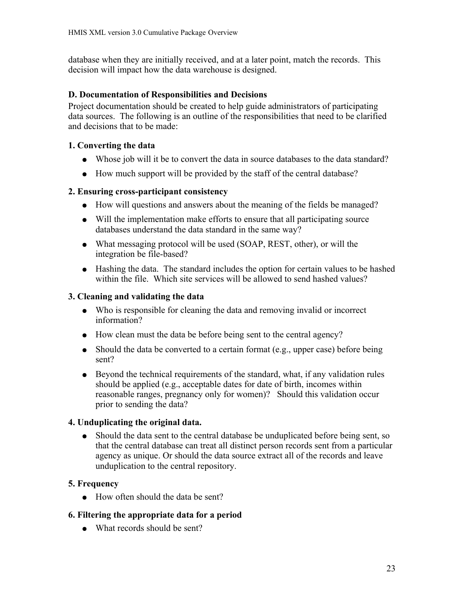database when they are initially received, and at a later point, match the records. This decision will impact how the data warehouse is designed.

## <span id="page-22-5"></span>**D. Documentation of Responsibilities and Decisions**

Project documentation should be created to help guide administrators of participating data sources. The following is an outline of the responsibilities that need to be clarified and decisions that to be made:

## <span id="page-22-4"></span>**1. Converting the data**

- Whose job will it be to convert the data in source databases to the data standard?
- How much support will be provided by the staff of the central database?

## <span id="page-22-3"></span>**2. Ensuring cross-participant consistency**

- How will questions and answers about the meaning of the fields be managed?
- Will the implementation make efforts to ensure that all participating source databases understand the data standard in the same way?
- What messaging protocol will be used (SOAP, REST, other), or will the integration be file-based?
- Hashing the data. The standard includes the option for certain values to be hashed within the file. Which site services will be allowed to send hashed values?

## <span id="page-22-2"></span>**3. Cleaning and validating the data**

- Who is responsible for cleaning the data and removing invalid or incorrect information?
- How clean must the data be before being sent to the central agency?
- Should the data be converted to a certain format (e.g., upper case) before being sent?
- Beyond the technical requirements of the standard, what, if any validation rules should be applied (e.g., acceptable dates for date of birth, incomes within reasonable ranges, pregnancy only for women)? Should this validation occur prior to sending the data?

#### <span id="page-22-1"></span>**4. Unduplicating the original data.**

• Should the data sent to the central database be unduplicated before being sent, so that the central database can treat all distinct person records sent from a particular agency as unique. Or should the data source extract all of the records and leave unduplication to the central repository.

## <span id="page-22-0"></span>**5. Frequency**

- How often should the data be sent?
- <span id="page-22-6"></span>**6. Filtering the appropriate data for a period**
	- $\bullet$  What records should be sent?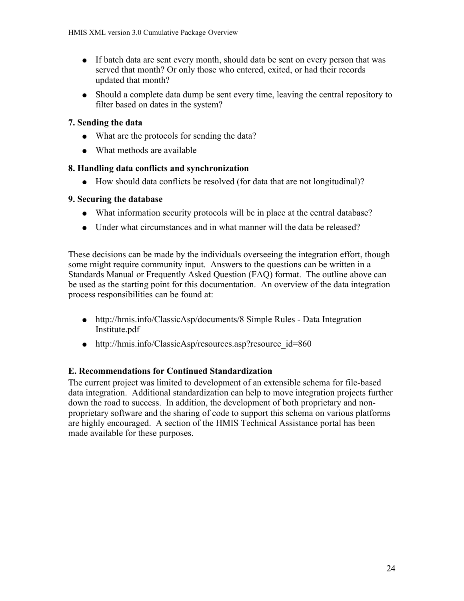- If batch data are sent every month, should data be sent on every person that was served that month? Or only those who entered, exited, or had their records updated that month?
- Should a complete data dump be sent every time, leaving the central repository to filter based on dates in the system?

## <span id="page-23-3"></span>**7. Sending the data**

- What are the protocols for sending the data?
- What methods are available

## <span id="page-23-2"></span>**8. Handling data conflicts and synchronization**

● How should data conflicts be resolved (for data that are not longitudinal)?

## <span id="page-23-1"></span>**9. Securing the database**

- What information security protocols will be in place at the central database?
- Under what circumstances and in what manner will the data be released?

These decisions can be made by the individuals overseeing the integration effort, though some might require community input. Answers to the questions can be written in a Standards Manual or Frequently Asked Question (FAQ) format. The outline above can be used as the starting point for this documentation. An overview of the data integration process responsibilities can be found at:

- [http://hmis.info/ClassicAsp/documents/8 Simple Rules Data Integration](http://hmis.info/ClassicAsp/documents/8%20Simple%20Rules%20-%20Data%20Integration%20Institute.pdf) [Institute.pdf](http://hmis.info/ClassicAsp/documents/8%20Simple%20Rules%20-%20Data%20Integration%20Institute.pdf)
- [http://hmis.info/ClassicAsp/resources.asp?resource\\_id=860](http://hmis.info/ClassicAsp/resources.asp?resource_id=860)

## <span id="page-23-0"></span>**E. Recommendations for Continued Standardization**

The current project was limited to development of an extensible schema for file-based data integration. Additional standardization can help to move integration projects further down the road to success. In addition, the development of both proprietary and nonproprietary software and the sharing of code to support this schema on various platforms are highly encouraged. A section of the HMIS Technical Assistance portal has been made available for these purposes.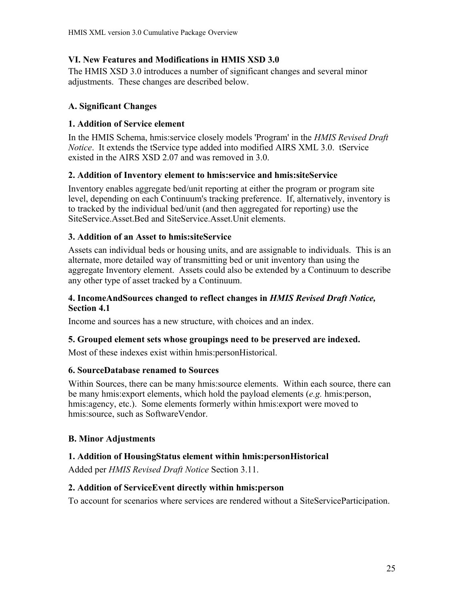### <span id="page-24-10"></span>**VI. New Features and Modifications in HMIS XSD 3.0**

The HMIS XSD 3.0 introduces a number of significant changes and several minor adjustments. These changes are described below.

## <span id="page-24-9"></span>**A. Significant Changes**

## <span id="page-24-8"></span>**1. Addition of Service element**

In the HMIS Schema, hmis:service closely models 'Program' in the *HMIS Revised Draft Notice*. It extends the tService type added into modified AIRS XML 3.0. tService existed in the AIRS XSD 2.07 and was removed in 3.0.

## <span id="page-24-7"></span>**2. Addition of Inventory element to hmis:service and hmis:siteService**

Inventory enables aggregate bed/unit reporting at either the program or program site level, depending on each Continuum's tracking preference. If, alternatively, inventory is to tracked by the individual bed/unit (and then aggregated for reporting) use the SiteService Asset. Bed and SiteService Asset. Unit elements.

## <span id="page-24-6"></span>**3. Addition of an Asset to hmis:siteService**

Assets can individual beds or housing units, and are assignable to individuals. This is an alternate, more detailed way of transmitting bed or unit inventory than using the aggregate Inventory element. Assets could also be extended by a Continuum to describe any other type of asset tracked by a Continuum.

#### <span id="page-24-5"></span>**4. IncomeAndSources changed to reflect changes in** *HMIS Revised Draft Notice,* **Section 4.1**

Income and sources has a new structure, with choices and an index.

#### <span id="page-24-4"></span>**5. Grouped element sets whose groupings need to be preserved are indexed.**

Most of these indexes exist within hmis:personHistorical.

#### <span id="page-24-3"></span>**6. SourceDatabase renamed to Sources**

Within Sources, there can be many hmis:source elements. Within each source, there can be many hmis:export elements, which hold the payload elements (*e.g.* hmis:person, hmis: agency, etc.). Some elements formerly within hmis: export were moved to hmis:source, such as SoftwareVendor.

## <span id="page-24-2"></span>**B. Minor Adjustments**

## <span id="page-24-1"></span>**1. Addition of HousingStatus element within hmis:personHistorical**

Added per *HMIS Revised Draft Notice* Section 3.11.

#### <span id="page-24-0"></span>**2. Addition of ServiceEvent directly within hmis:person**

To account for scenarios where services are rendered without a SiteServiceParticipation.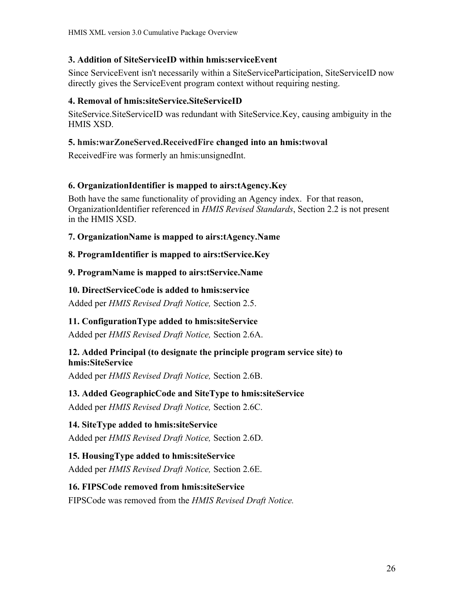#### <span id="page-25-13"></span>**3. Addition of SiteServiceID within hmis:serviceEvent**

Since ServiceEvent isn't necessarily within a SiteServiceParticipation, SiteServiceID now directly gives the ServiceEvent program context without requiring nesting.

#### <span id="page-25-12"></span>**4. Removal of hmis:siteService.SiteServiceID**

SiteService.SiteServiceID was redundant with SiteService.Key, causing ambiguity in the HMIS XSD.

#### <span id="page-25-11"></span>**5. hmis:warZoneServed.ReceivedFire changed into an hmis:twoval**

ReceivedFire was formerly an hmis:unsignedInt.

#### <span id="page-25-10"></span>**6. OrganizationIdentifier is mapped to airs:tAgency.Key**

Both have the same functionality of providing an Agency index. For that reason, OrganizationIdentifier referenced in *HMIS Revised Standards*, Section 2.2 is not present in the HMIS XSD.

#### <span id="page-25-9"></span>**7. OrganizationName is mapped to airs:tAgency.Name**

#### <span id="page-25-8"></span>**8. ProgramIdentifier is mapped to airs:tService.Key**

#### <span id="page-25-7"></span>**9. ProgramName is mapped to airs:tService.Name**

#### <span id="page-25-6"></span>**10. DirectServiceCode is added to hmis:service**

Added per *HMIS Revised Draft Notice,* Section 2.5.

#### <span id="page-25-5"></span>**11. ConfigurationType added to hmis:siteService**

Added per *HMIS Revised Draft Notice,* Section 2.6A.

#### <span id="page-25-4"></span>**12. Added Principal (to designate the principle program service site) to hmis:SiteService**

Added per *HMIS Revised Draft Notice,* Section 2.6B.

#### <span id="page-25-3"></span>**13. Added GeographicCode and SiteType to hmis:siteService**

Added per *HMIS Revised Draft Notice,* Section 2.6C.

#### <span id="page-25-2"></span>**14. SiteType added to hmis:siteService**

Added per *HMIS Revised Draft Notice,* Section 2.6D.

#### <span id="page-25-1"></span>**15. HousingType added to hmis:siteService**

Added per *HMIS Revised Draft Notice,* Section 2.6E.

#### <span id="page-25-0"></span>**16. FIPSCode removed from hmis:siteService**

FIPSCode was removed from the *HMIS Revised Draft Notice.*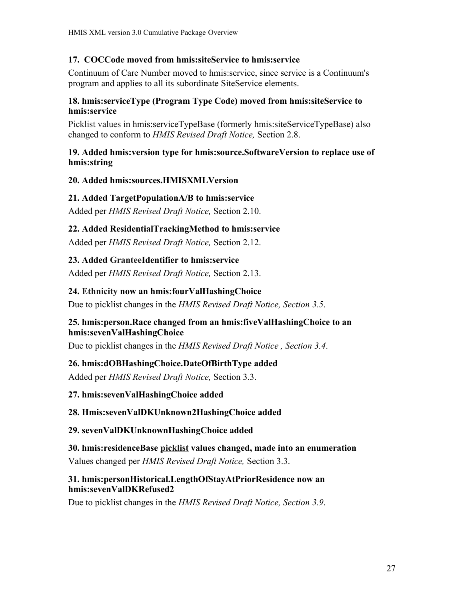#### <span id="page-26-5"></span>**17. COCCode moved from hmis:siteService to hmis:service**

Continuum of Care Number moved to hmis:service, since service is a Continuum's program and applies to all its subordinate SiteService elements.

#### <span id="page-26-4"></span>**18. hmis:serviceType (Program Type Code) moved from hmis:siteService to hmis:service**

Picklist values in hmis:serviceTypeBase (formerly hmis:siteServiceTypeBase) also changed to conform to *HMIS Revised Draft Notice,* Section 2.8.

#### <span id="page-26-3"></span>**19. Added hmis:version type for hmis:source.SoftwareVersion to replace use of hmis:string**

#### <span id="page-26-2"></span>**20. Added hmis:sources.HMISXMLVersion**

#### <span id="page-26-1"></span>**21. Added TargetPopulationA/B to hmis:service**

Added per *HMIS Revised Draft Notice,* Section 2.10.

#### <span id="page-26-0"></span>**22. Added ResidentialTrackingMethod to hmis:service**

Added per *HMIS Revised Draft Notice,* Section 2.12.

#### <span id="page-26-14"></span>**23. Added GranteeIdentifier to hmis:service**

Added per *HMIS Revised Draft Notice,* Section 2.13.

#### <span id="page-26-13"></span>**24. Ethnicity now an hmis:fourValHashingChoice**

Due to picklist changes in the *HMIS Revised Draft Notice, Section 3.5*.

#### <span id="page-26-12"></span>**25. hmis:person.Race changed from an hmis:fiveValHashingChoice to an hmis:sevenValHashingChoice**

Due to picklist changes in the *HMIS Revised Draft Notice , Section 3.4*.

#### <span id="page-26-11"></span>**26. hmis:dOBHashingChoice.DateOfBirthType added**

Added per *HMIS Revised Draft Notice,* Section 3.3.

#### <span id="page-26-10"></span>**27. hmis:sevenValHashingChoice added**

#### <span id="page-26-9"></span>**28. Hmis:sevenValDKUnknown2HashingChoice added**

<span id="page-26-8"></span>**29. sevenValDKUnknownHashingChoice added**

#### <span id="page-26-7"></span>**30. hmis:residenceBase picklist values changed, made into an enumeration**

Values changed per *HMIS Revised Draft Notice,* Section 3.3.

#### <span id="page-26-6"></span>**31. hmis:personHistorical.LengthOfStayAtPriorResidence now an hmis:sevenValDKRefused2**

Due to picklist changes in the *HMIS Revised Draft Notice, Section 3.9*.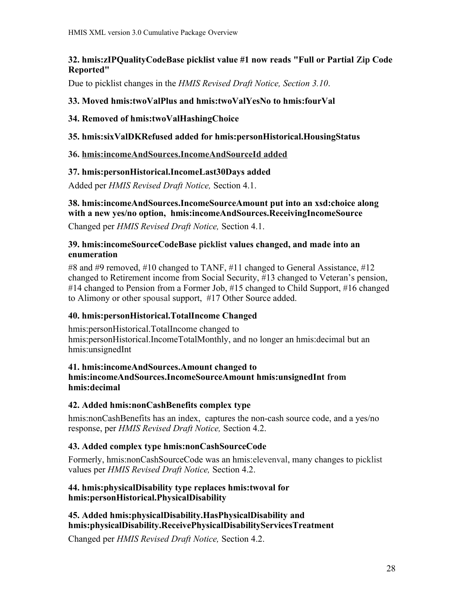## <span id="page-27-13"></span>**32. hmis:zIPQualityCodeBase picklist value #1 now reads "Full or Partial Zip Code Reported"**

Due to picklist changes in the *HMIS Revised Draft Notice, Section 3.10*.

## <span id="page-27-12"></span>**33. Moved hmis:twoValPlus and hmis:twoValYesNo to hmis:fourVal**

#### <span id="page-27-11"></span>**34. Removed of hmis:twoValHashingChoice**

## <span id="page-27-10"></span>**35. hmis:sixValDKRefused added for hmis:personHistorical.HousingStatus**

## <span id="page-27-9"></span>**36. hmis:incomeAndSources.IncomeAndSourceId added**

## <span id="page-27-8"></span>**37. hmis:personHistorical.IncomeLast30Days added**

Added per *HMIS Revised Draft Notice,* Section 4.1.

## <span id="page-27-7"></span>**38. hmis:incomeAndSources.IncomeSourceAmount put into an xsd:choice along with a new yes/no option, hmis:incomeAndSources.ReceivingIncomeSource**

Changed per *HMIS Revised Draft Notice,* Section 4.1.

#### <span id="page-27-6"></span>**39. hmis:incomeSourceCodeBase picklist values changed, and made into an enumeration**

#8 and #9 removed, #10 changed to TANF, #11 changed to General Assistance, #12 changed to Retirement income from Social Security, #13 changed to Veteran's pension, #14 changed to Pension from a Former Job, #15 changed to Child Support, #16 changed to Alimony or other spousal support, #17 Other Source added.

## <span id="page-27-5"></span>**40. hmis:personHistorical.TotalIncome Changed**

hmis:personHistorical.TotalIncome changed to hmis:personHistorical.IncomeTotalMonthly, and no longer an hmis:decimal but an hmis:unsignedInt

#### <span id="page-27-4"></span>**41. hmis:incomeAndSources.Amount changed to hmis:incomeAndSources.IncomeSourceAmount hmis:unsignedInt from hmis:decimal**

## <span id="page-27-3"></span>**42. Added hmis:nonCashBenefits complex type**

hmis:nonCashBenefits has an index, captures the non-cash source code, and a yes/no response, per *HMIS Revised Draft Notice,* Section 4.2.

## <span id="page-27-2"></span>**43. Added complex type hmis:nonCashSourceCode**

Formerly, hmis:nonCashSourceCode was an hmis:elevenval, many changes to picklist values per *HMIS Revised Draft Notice,* Section 4.2.

#### <span id="page-27-1"></span>**44. hmis:physicalDisability type replaces hmis:twoval for hmis:personHistorical.PhysicalDisability**

#### <span id="page-27-0"></span>**45. Added hmis:physicalDisability.HasPhysicalDisability and hmis:physicalDisability.ReceivePhysicalDisabilityServicesTreatment**

Changed per *HMIS Revised Draft Notice,* Section 4.2.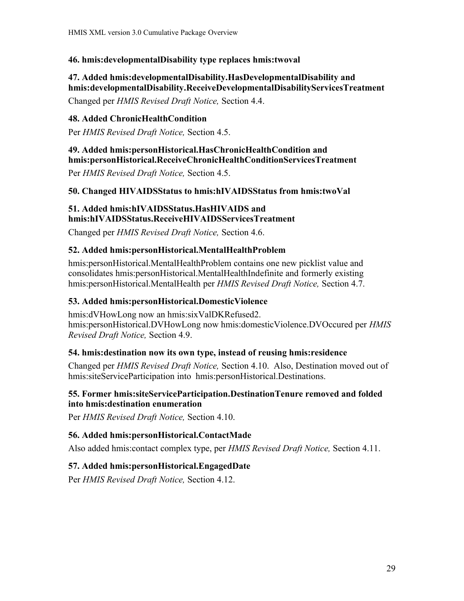#### <span id="page-28-7"></span>**46. hmis:developmentalDisability type replaces hmis:twoval**

## <span id="page-28-6"></span>**47. Added hmis:developmentalDisability.HasDevelopmentalDisability and hmis:developmentalDisability.ReceiveDevelopmentalDisabilityServicesTreatment**

Changed per *HMIS Revised Draft Notice,* Section 4.4.

#### <span id="page-28-5"></span>**48. Added ChronicHealthCondition**

Per *HMIS Revised Draft Notice,* Section 4.5.

#### <span id="page-28-4"></span>**49. Added hmis:personHistorical.HasChronicHealthCondition and hmis:personHistorical.ReceiveChronicHealthConditionServicesTreatment**

Per *HMIS Revised Draft Notice,* Section 4.5.

#### <span id="page-28-3"></span>**50. Changed HIVAIDSStatus to hmis:hIVAIDSStatus from hmis:twoVal**

#### <span id="page-28-2"></span>**51. Added hmis:hIVAIDSStatus.HasHIVAIDS and hmis:hIVAIDSStatus.ReceiveHIVAIDSServicesTreatment**

Changed per *HMIS Revised Draft Notice,* Section 4.6.

#### <span id="page-28-1"></span>**52. Added hmis:personHistorical.MentalHealthProblem**

hmis:personHistorical.MentalHealthProblem contains one new picklist value and consolidates hmis:personHistorical.MentalHealthIndefinite and formerly existing hmis:personHistorical.MentalHealth per *HMIS Revised Draft Notice,* Section 4.7.

#### <span id="page-28-0"></span>**53. Added hmis:personHistorical.DomesticViolence**

hmis:dVHowLong now an hmis:sixValDKRefused2. hmis:personHistorical.DVHowLong now hmis:domesticViolence.DVOccured per *HMIS Revised Draft Notice,* Section 4.9.

#### <span id="page-28-11"></span>**54. hmis:destination now its own type, instead of reusing hmis:residence**

Changed per *HMIS Revised Draft Notice,* Section 4.10. Also, Destination moved out of hmis:siteServiceParticipation into hmis:personHistorical.Destinations.

#### <span id="page-28-10"></span>**55. Former hmis:siteServiceParticipation.DestinationTenure removed and folded into hmis:destination enumeration**

Per *HMIS Revised Draft Notice,* Section 4.10.

#### <span id="page-28-9"></span>**56. Added hmis:personHistorical.ContactMade**

Also added hmis:contact complex type, per *HMIS Revised Draft Notice,* Section 4.11.

#### <span id="page-28-8"></span>**57. Added hmis:personHistorical.EngagedDate**

Per *HMIS Revised Draft Notice,* Section 4.12.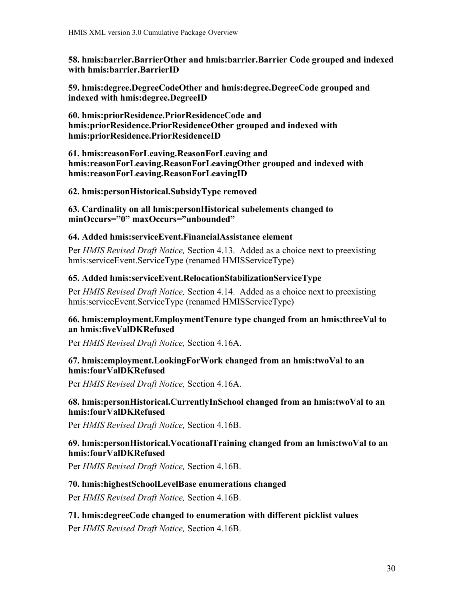<span id="page-29-13"></span>**58. hmis:barrier.BarrierOther and hmis:barrier.Barrier Code grouped and indexed with hmis:barrier.BarrierID**

<span id="page-29-12"></span>**59. hmis:degree.DegreeCodeOther and hmis:degree.DegreeCode grouped and indexed with hmis:degree.DegreeID**

<span id="page-29-11"></span>**60. hmis:priorResidence.PriorResidenceCode and hmis:priorResidence.PriorResidenceOther grouped and indexed with hmis:priorResidence.PriorResidenceID**

<span id="page-29-10"></span>**61. hmis:reasonForLeaving.ReasonForLeaving and hmis:reasonForLeaving.ReasonForLeavingOther grouped and indexed with hmis:reasonForLeaving.ReasonForLeavingID**

<span id="page-29-9"></span>**62. hmis:personHistorical.SubsidyType removed**

<span id="page-29-8"></span>**63. Cardinality on all hmis:personHistorical subelements changed to minOccurs="0" maxOccurs="unbounded"**

#### <span id="page-29-7"></span>**64. Added hmis:serviceEvent.FinancialAssistance element**

Per *HMIS Revised Draft Notice,* Section 4.13. Added as a choice next to preexisting hmis:serviceEvent.ServiceType (renamed HMISServiceType)

#### <span id="page-29-6"></span>**65. Added hmis:serviceEvent.RelocationStabilizationServiceType**

Per *HMIS Revised Draft Notice,* Section 4.14. Added as a choice next to preexisting hmis:serviceEvent.ServiceType (renamed HMISServiceType)

#### <span id="page-29-5"></span>**66. hmis:employment.EmploymentTenure type changed from an hmis:threeVal to an hmis:fiveValDKRefused**

Per *HMIS Revised Draft Notice,* Section 4.16A.

#### <span id="page-29-4"></span>**67. hmis:employment.LookingForWork changed from an hmis:twoVal to an hmis:fourValDKRefused**

Per *HMIS Revised Draft Notice,* Section 4.16A.

#### <span id="page-29-3"></span>**68. hmis:personHistorical.CurrentlyInSchool changed from an hmis:twoVal to an hmis:fourValDKRefused**

Per *HMIS Revised Draft Notice,* Section 4.16B.

#### <span id="page-29-2"></span>**69. hmis:personHistorical.VocationalTraining changed from an hmis:twoVal to an hmis:fourValDKRefused**

Per *HMIS Revised Draft Notice,* Section 4.16B.

#### <span id="page-29-1"></span>**70. hmis:highestSchoolLevelBase enumerations changed**

Per *HMIS Revised Draft Notice,* Section 4.16B.

## <span id="page-29-0"></span>**71. hmis:degreeCode changed to enumeration with different picklist values** Per *HMIS Revised Draft Notice,* Section 4.16B.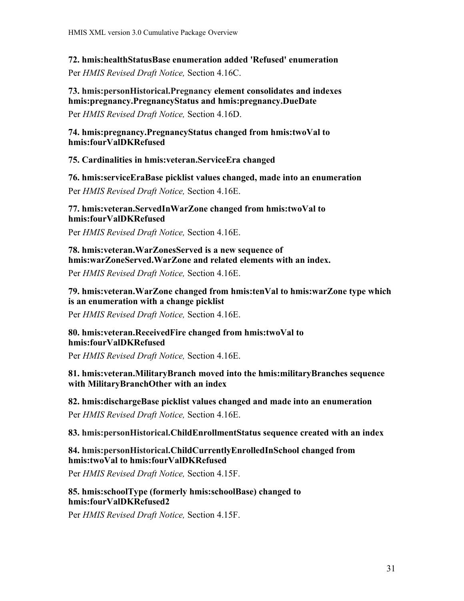<span id="page-30-7"></span>**72. hmis:healthStatusBase enumeration added 'Refused' enumeration**

Per *HMIS Revised Draft Notice,* Section 4.16C.

## <span id="page-30-6"></span>**73. hmis:personHistorical.Pregnancy element consolidates and indexes hmis:pregnancy.PregnancyStatus and hmis:pregnancy.DueDate**

Per *HMIS Revised Draft Notice,* Section 4.16D.

<span id="page-30-5"></span>**74. hmis:pregnancy.PregnancyStatus changed from hmis:twoVal to hmis:fourValDKRefused**

<span id="page-30-4"></span>**75. Cardinalities in hmis:veteran.ServiceEra changed**

#### <span id="page-30-3"></span>**76. hmis:serviceEraBase picklist values changed, made into an enumeration**

Per *HMIS Revised Draft Notice,* Section 4.16E.

#### <span id="page-30-2"></span>**77. hmis:veteran.ServedInWarZone changed from hmis:twoVal to hmis:fourValDKRefused**

Per *HMIS Revised Draft Notice,* Section 4.16E.

#### <span id="page-30-1"></span>**78. hmis:veteran.WarZonesServed is a new sequence of hmis:warZoneServed.WarZone and related elements with an index.**

Per *HMIS Revised Draft Notice,* Section 4.16E.

#### <span id="page-30-0"></span>**79. hmis:veteran.WarZone changed from hmis:tenVal to hmis:warZone type which is an enumeration with a change picklist**

Per *HMIS Revised Draft Notice,* Section 4.16E.

#### <span id="page-30-13"></span>**80. hmis:veteran.ReceivedFire changed from hmis:twoVal to hmis:fourValDKRefused**

Per *HMIS Revised Draft Notice,* Section 4.16E.

<span id="page-30-12"></span>**81. hmis:veteran.MilitaryBranch moved into the hmis:militaryBranches sequence with MilitaryBranchOther with an index**

#### <span id="page-30-11"></span>**82. hmis:dischargeBase picklist values changed and made into an enumeration**

Per *HMIS Revised Draft Notice,* Section 4.16E.

<span id="page-30-10"></span>**83. hmis:personHistorical.ChildEnrollmentStatus sequence created with an index**

#### <span id="page-30-9"></span>**84. hmis:personHistorical.ChildCurrentlyEnrolledInSchool changed from hmis:twoVal to hmis:fourValDKRefused**

Per *HMIS Revised Draft Notice,* Section 4.15F.

#### <span id="page-30-8"></span>**85. hmis:schoolType (formerly hmis:schoolBase) changed to hmis:fourValDKRefused2**

Per *HMIS Revised Draft Notice,* Section 4.15F.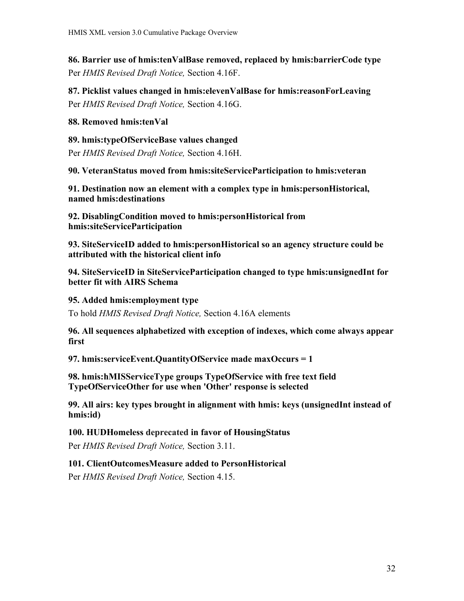<span id="page-31-15"></span>**86. Barrier use of hmis:tenValBase removed, replaced by hmis:barrierCode type**  Per *HMIS Revised Draft Notice,* Section 4.16F.

<span id="page-31-14"></span>**87. Picklist values changed in hmis:elevenValBase for hmis:reasonForLeaving** Per *HMIS Revised Draft Notice,* Section 4.16G.

#### <span id="page-31-13"></span>**88. Removed hmis:tenVal**

<span id="page-31-12"></span>**89. hmis:typeOfServiceBase values changed**

Per *HMIS Revised Draft Notice,* Section 4.16H.

<span id="page-31-11"></span>**90. VeteranStatus moved from hmis:siteServiceParticipation to hmis:veteran**

<span id="page-31-10"></span>**91. Destination now an element with a complex type in hmis:personHistorical, named hmis:destinations**

<span id="page-31-9"></span>**92. DisablingCondition moved to hmis:personHistorical from hmis:siteServiceParticipation**

<span id="page-31-8"></span>**93. SiteServiceID added to hmis:personHistorical so an agency structure could be attributed with the historical client info**

<span id="page-31-7"></span>**94. SiteServiceID in SiteServiceParticipation changed to type hmis:unsignedInt for better fit with AIRS Schema**

#### <span id="page-31-6"></span>**95. Added hmis:employment type**

To hold *HMIS Revised Draft Notice,* Section 4.16A elements

<span id="page-31-5"></span>**96. All sequences alphabetized with exception of indexes, which come always appear first**

<span id="page-31-4"></span>**97. hmis:serviceEvent.QuantityOfService made maxOccurs = 1**

<span id="page-31-3"></span>**98. hmis:hMISServiceType groups TypeOfService with free text field TypeOfServiceOther for use when 'Other' response is selected**

<span id="page-31-2"></span>**99. All airs: key types brought in alignment with hmis: keys (unsignedInt instead of hmis:id)**

#### <span id="page-31-1"></span>**100. HUDHomeless deprecated in favor of HousingStatus**

Per *HMIS Revised Draft Notice,* Section 3.11.

#### <span id="page-31-0"></span>**101. ClientOutcomesMeasure added to PersonHistorical**

Per *HMIS Revised Draft Notice,* Section 4.15.